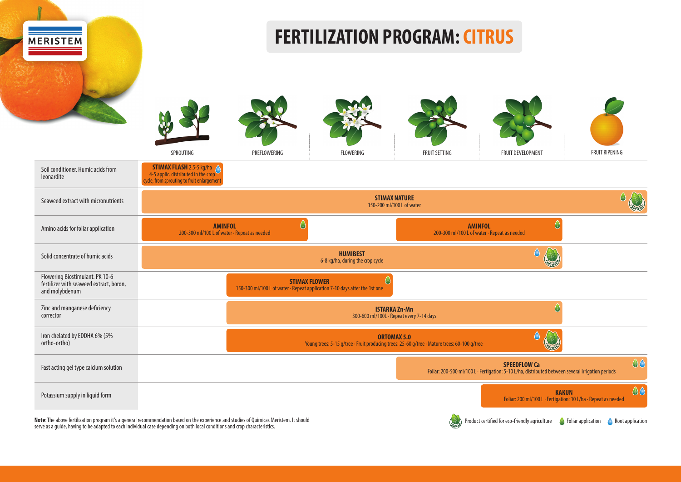

Note: The above fertilization program it's a general recommendation based on the experience and studies of Quimicas Meristem. It should<br>serve as a guide, having to be adapted to each individual case depending on both local